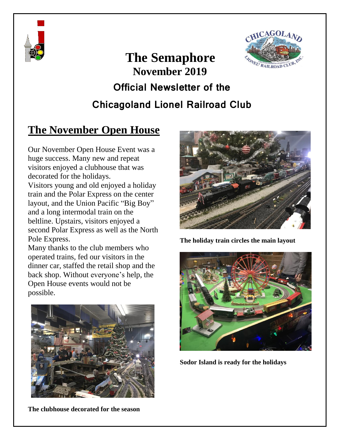



# **The Semaphore November 2019 Official Newsletter of the Chicagoland Lionel Railroad Club**

# **The November Open House**

Our November Open House Event was a huge success. Many new and repeat visitors enjoyed a clubhouse that was decorated for the holidays.

Visitors young and old enjoyed a holiday train and the Polar Express on the center layout, and the Union Pacific "Big Boy" and a long intermodal train on the beltline. Upstairs, visitors enjoyed a second Polar Express as well as the North Pole Express.

Many thanks to the club members who operated trains, fed our visitors in the dinner car, staffed the retail shop and the back shop. Without everyone's help, the Open House events would not be possible.



**The clubhouse decorated for the season**



**The holiday train circles the main layout**



**Sodor Island is ready for the holidays**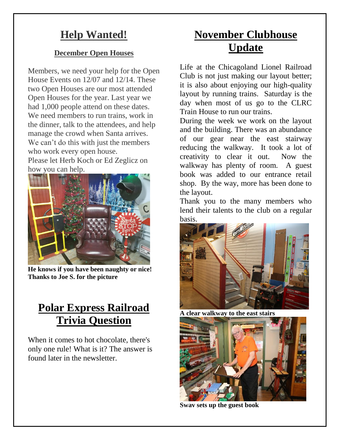### **Help Wanted!**

#### **December Open Houses**

Members, we need your help for the Open House Events on 12/07 and 12/14. These two Open Houses are our most attended Open Houses for the year. Last year we had 1,000 people attend on these dates. We need members to run trains, work in the dinner, talk to the attendees, and help manage the crowd when Santa arrives. We can't do this with just the members who work every open house.

Please let Herb Koch or Ed Zeglicz on how you can help.



**He knows if you have been naughty or nice! Thanks to Joe S. for the picture**

## **Polar Express Railroad Trivia Question**

When it comes to hot chocolate, there's only one rule! What is it? The answer is found later in the newsletter.

## **November Clubhouse Update**

Life at the Chicagoland Lionel Railroad Club is not just making our layout better; it is also about enjoying our high-quality layout by running trains. Saturday is the day when most of us go to the CLRC Train House to run our trains.

During the week we work on the layout and the building. There was an abundance of our gear near the east stairway reducing the walkway. It took a lot of creativity to clear it out. Now the walkway has plenty of room. A guest book was added to our entrance retail shop. By the way, more has been done to the layout.

Thank you to the many members who lend their talents to the club on a regular basis.



**A clear walkway to the east stairs**



**Swav sets up the guest book**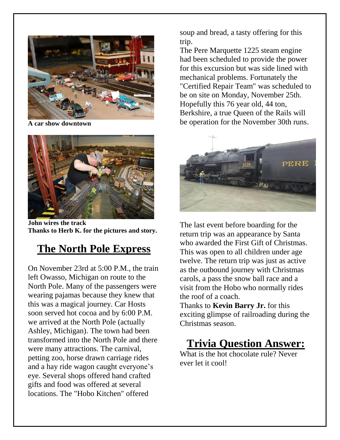

**A car show downtown**



**John wires the track Thanks to Herb K. for the pictures and story.**

#### **The North Pole Express**

On November 23rd at 5:00 P.M., the train left Owasso, Michigan on route to the North Pole. Many of the passengers were wearing pajamas because they knew that this was a magical journey. Car Hosts soon served hot cocoa and by 6:00 P.M. we arrived at the North Pole (actually Ashley, Michigan). The town had been transformed into the North Pole and there were many attractions. The carnival, petting zoo, horse drawn carriage rides and a hay ride wagon caught everyone's eye. Several shops offered hand crafted gifts and food was offered at several locations. The "Hobo Kitchen" offered

soup and bread, a tasty offering for this trip.

The Pere Marquette 1225 steam engine had been scheduled to provide the power for this excursion but was side lined with mechanical problems. Fortunately the "Certified Repair Team" was scheduled to be on site on Monday, November 25th. Hopefully this 76 year old, 44 ton, Berkshire, a true Queen of the Rails will be operation for the November 30th runs.



The last event before boarding for the return trip was an appearance by Santa who awarded the First Gift of Christmas. This was open to all children under age twelve. The return trip was just as active as the outbound journey with Christmas carols, a pass the snow ball race and a visit from the Hobo who normally rides the roof of a coach.

Thanks to **Kevin Barry Jr.** for this exciting glimpse of railroading during the Christmas season.

#### **Trivia Question Answer:**

What is the hot chocolate rule? Never ever let it cool!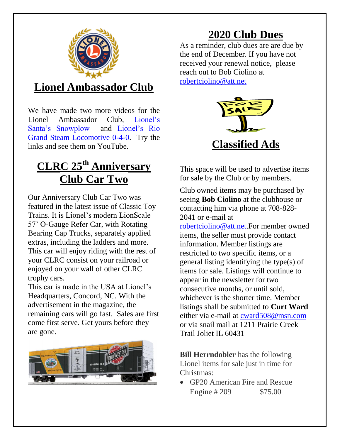

### **Lionel Ambassador Club**

We have made two more videos for the Lionel Ambassador Club, [Lionel's](Lionel’s%20Santa’s%20Snowplow)  [Santa's Snowplow](Lionel’s%20Santa’s%20Snowplow) and [Lionel's Rio](https://www.youtube.com/watch?v=INl8ZagxR30)  [Grand Steam Locomotive 0-4-0.](https://www.youtube.com/watch?v=INl8ZagxR30) Try the links and see them on YouTube.

# **CLRC 25th Anniversary Club Car Two**

Our Anniversary Club Car Two was featured in the latest issue of Classic Toy Trains. It is Lionel's modern LionScale 57' O-Gauge Refer Car, with Rotating Bearing Cap Trucks, separately applied extras, including the ladders and more. This car will enjoy riding with the rest of your CLRC consist on your railroad or enjoyed on your wall of other CLRC trophy cars.

This car is made in the USA at Lionel's Headquarters, Concord, NC. With the advertisement in the magazine, the remaining cars will go fast. Sales are first come first serve. Get yours before they are gone.



## **2020 Club Dues**

As a reminder, club dues are are due by the end of December. If you have not received your renewal notice, please reach out to Bob Ciolino at [robertciolino@att.net](mailto:robertciolino@att.net)



This space will be used to advertise items for sale by the Club or by members.

Club owned items may be purchased by seeing **Bob Ciolino** at the clubhouse or contacting him via phone at 708-828- 2041 or e-mail at

[robertciolino@att.net.](mailto:robertciolino@att.net)For member owned items, the seller must provide contact information. Member listings are restricted to two specific items, or a general listing identifying the type(s) of items for sale. Listings will continue to appear in the newsletter for two consecutive months, or until sold, whichever is the shorter time. Member listings shall be submitted to **Curt Ward** either via e-mail at [cward508@msn.com](mailto:cward508@msn.com) or via snail mail at 1211 Prairie Creek Trail Joliet IL 60431

**Bill Herrndobler** has the following Lionel items for sale just in time for Christmas:

 GP20 American Fire and Rescue Engine # 209 \$75.00